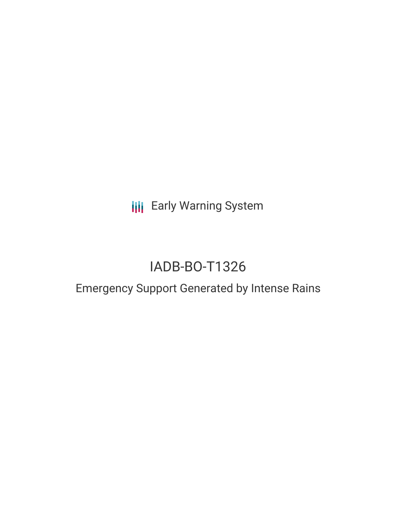**III** Early Warning System

# IADB-BO-T1326

## Emergency Support Generated by Intense Rains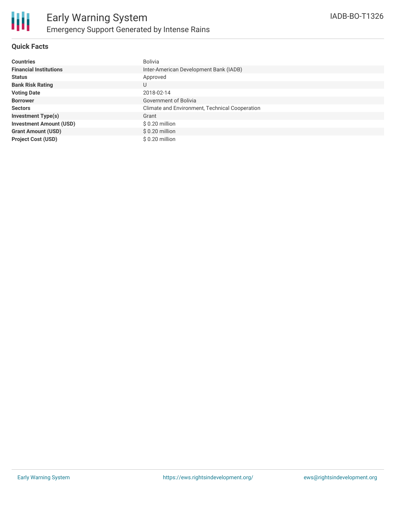

### **Quick Facts**

| <b>Countries</b>               | Bolivia                                        |
|--------------------------------|------------------------------------------------|
| <b>Financial Institutions</b>  | Inter-American Development Bank (IADB)         |
| <b>Status</b>                  | Approved                                       |
| <b>Bank Risk Rating</b>        | U                                              |
| <b>Voting Date</b>             | 2018-02-14                                     |
| <b>Borrower</b>                | Government of Bolivia                          |
| <b>Sectors</b>                 | Climate and Environment, Technical Cooperation |
| <b>Investment Type(s)</b>      | Grant                                          |
| <b>Investment Amount (USD)</b> | $$0.20$ million                                |
| <b>Grant Amount (USD)</b>      | $$0.20$ million                                |
| <b>Project Cost (USD)</b>      | \$0.20 million                                 |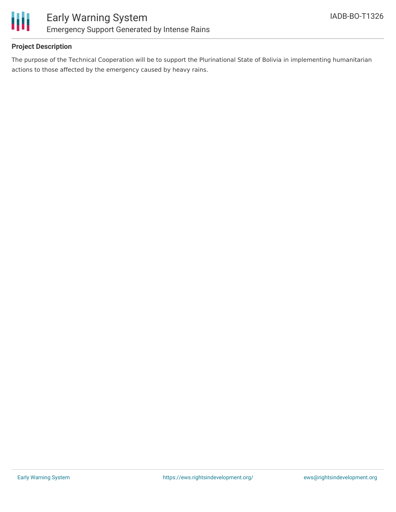

### **Project Description**

The purpose of the Technical Cooperation will be to support the Plurinational State of Bolivia in implementing humanitarian actions to those affected by the emergency caused by heavy rains.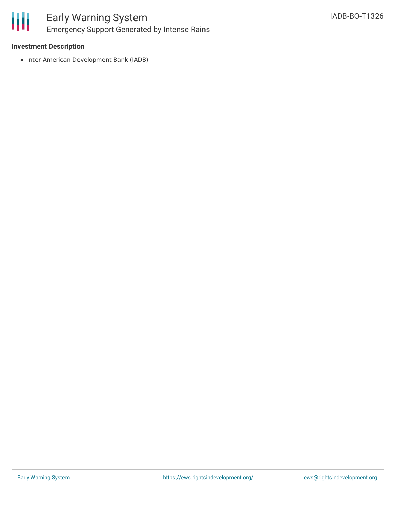

### Early Warning System Emergency Support Generated by Intense Rains

### **Investment Description**

• Inter-American Development Bank (IADB)